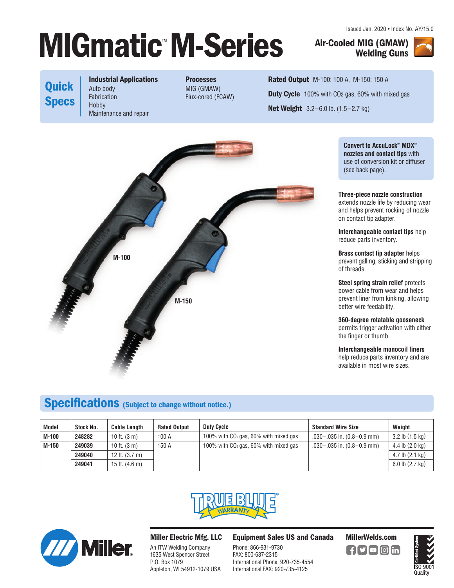# **MIGmatic M-Series Air-Cooled MIG (GMAW)** *Nelding Guns*

Issued Jan. 2020 • Index No. AY/15.0

**Welding Guns**



# **Quick Specs**

**Industrial Applications**  Auto body Fabrication Hobby Maintenance and repair

**Processes**  MIG (GMAW) Flux-cored (FCAW)

**Rated Output** M-100: 100 A, M-150: 150 A **Duty Cycle** 100% with CO2 gas, 60% with mixed gas **Net Weight** 3.2–6.0 lb. (1.5–2.7 kg)



**Convert to AccuLock**™ **MDX**™ **nozzles and contact tips** with use of conversion kit or diffuser (see back page).

**Three-piece nozzle construction**  extends nozzle life by reducing wear and helps prevent rocking of nozzle on contact tip adapter.

**Interchangeable contact tips** help reduce parts inventory.

**Brass contact tip adapter** helps prevent galling, sticking and stripping of threads.

**Steel spring strain relief protects** power cable from wear and helps prevent liner from kinking, allowing better wire feedability.

**360-degree rotatable gooseneck** permits trigger activation with either the finger or thumb.

**Interchangeable monocoil liners** help reduce parts inventory and are available in most wire sizes.

# **Specifications (Subject to change without notice.)**

| <b>Model</b> | Stock No. | <b>Cable Length</b>      | <b>Rated Output</b> | <b>Duty Cycle</b>                       | <b>Standard Wire Size</b>          | Weiaht                      |
|--------------|-----------|--------------------------|---------------------|-----------------------------------------|------------------------------------|-----------------------------|
| M-100        | 248282    | 10 ft. $(3 \text{ m})$   | 100 A               | 100% with $CO2$ gas, 60% with mixed gas | $.030 - .035$ in. $(0.8 - 0.9$ mm) | $3.2$ lb $(1.5$ kg)         |
| M-150        | 249039    | 10 ft. $(3 \text{ m})$   | 150 A               | 100% with $CO2$ gas, 60% with mixed gas | $.030 - .035$ in. $(0.8 - 0.9$ mm) | $4.4$ lb $(2.0 \text{ kg})$ |
|              | 249040    | 12 ft. $(3.7 \text{ m})$ |                     |                                         |                                    | $4.7$ lb $(2.1$ kg)         |
|              | 249041    | 15 ft. $(4.6 \text{ m})$ |                     |                                         |                                    | $6.0$ lb $(2.7$ kg)         |





## **Miller Electric Mfg. LLC**

An ITW Welding Company 1635 West Spencer Street P.O. Box 1079 Appleton, WI 54912-1079 USA **Equipment Sales US and Canada MillerWelds.com**

Phone: 866-931-9730 FAX: 800-637-2315 International Phone: 920-735-4554 International FAX: 920-735-4125